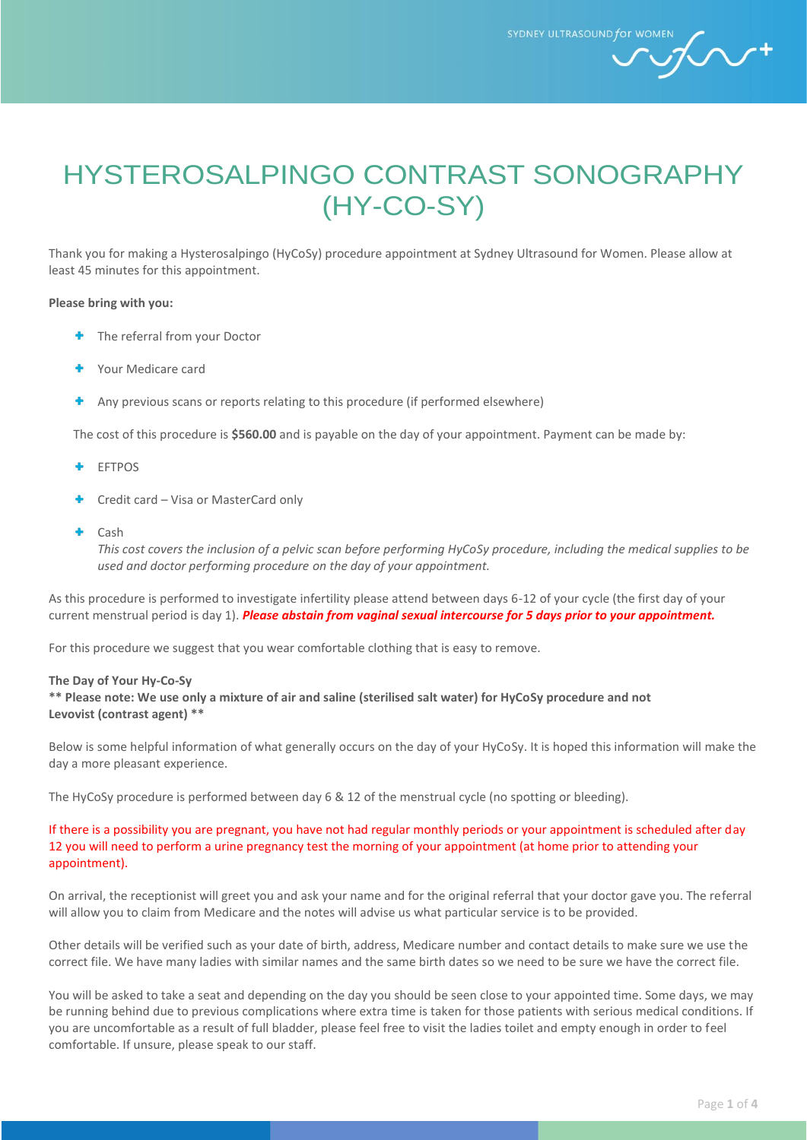SYDNEY ULTRASOUND for WOM

 $\mathcal{L}$ +

# HYSTEROSALPINGO CONTRAST SONOGRAPHY (HY-CO-SY)

Thank you for making a Hysterosalpingo (HyCoSy) procedure appointment at Sydney Ultrasound for Women. Please allow at least 45 minutes for this appointment.

#### **Please bring with you:**

- **+** The referral from your Doctor
- Your Medicare card
- Any previous scans or reports relating to this procedure (if performed elsewhere)

The cost of this procedure is **\$560.00** and is payable on the day of your appointment. Payment can be made by:

- ٠ EFTPOS
- Credit card Visa or MasterCard only
- Cash

*This cost covers the inclusion of a pelvic scan before performing HyCoSy procedure, including the medical supplies to be used and doctor performing procedure on the day of your appointment.*

As this procedure is performed to investigate infertility please attend between days 6-12 of your cycle (the first day of your current menstrual period is day 1). *Please abstain from vaginal sexual intercourse for 5 days prior to your appointment.*

For this procedure we suggest that you wear comfortable clothing that is easy to remove.

#### **The Day of Your Hy-Co-Sy**

**\*\* Please note: We use only a mixture of air and saline (sterilised salt water) for HyCoSy procedure and not Levovist (contrast agent) \*\***

Below is some helpful information of what generally occurs on the day of your HyCoSy. It is hoped this information will make the day a more pleasant experience.

The HyCoSy procedure is performed between day 6 & 12 of the menstrual cycle (no spotting or bleeding).

#### If there is a possibility you are pregnant, you have not had regular monthly periods or your appointment is scheduled after day 12 you will need to perform a urine pregnancy test the morning of your appointment (at home prior to attending your appointment).

On arrival, the receptionist will greet you and ask your name and for the original referral that your doctor gave you. The referral will allow you to claim from Medicare and the notes will advise us what particular service is to be provided.

Other details will be verified such as your date of birth, address, Medicare number and contact details to make sure we use the correct file. We have many ladies with similar names and the same birth dates so we need to be sure we have the correct file.

You will be asked to take a seat and depending on the day you should be seen close to your appointed time. Some days, we may be running behind due to previous complications where extra time is taken for those patients with serious medical conditions. If you are uncomfortable as a result of full bladder, please feel free to visit the ladies toilet and empty enough in order to feel comfortable. If unsure, please speak to our staff.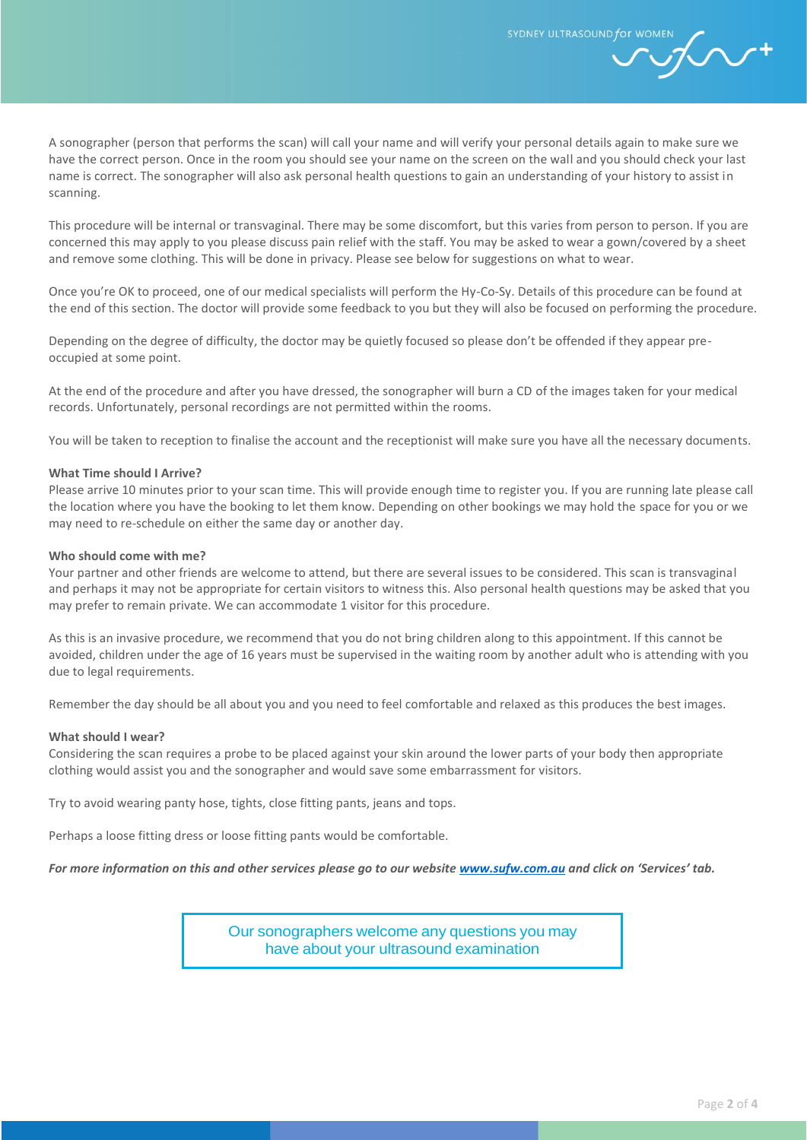A sonographer (person that performs the scan) will call your name and will verify your personal details again to make sure we have the correct person. Once in the room you should see your name on the screen on the wall and you should check your last name is correct. The sonographer will also ask personal health questions to gain an understanding of your history to assist in scanning.

This procedure will be internal or transvaginal. There may be some discomfort, but this varies from person to person. If you are concerned this may apply to you please discuss pain relief with the staff. You may be asked to wear a gown/covered by a sheet and remove some clothing. This will be done in privacy. Please see below for suggestions on what to wear.

Once you're OK to proceed, one of our medical specialists will perform the Hy-Co-Sy. Details of this procedure can be found at the end of this section. The doctor will provide some feedback to you but they will also be focused on performing the procedure.

Depending on the degree of difficulty, the doctor may be quietly focused so please don't be offended if they appear preoccupied at some point.

At the end of the procedure and after you have dressed, the sonographer will burn a CD of the images taken for your medical records. Unfortunately, personal recordings are not permitted within the rooms.

You will be taken to reception to finalise the account and the receptionist will make sure you have all the necessary documents.

#### **What Time should I Arrive?**

Please arrive 10 minutes prior to your scan time. This will provide enough time to register you. If you are running late please call the location where you have the booking to let them know. Depending on other bookings we may hold the space for you or we may need to re-schedule on either the same day or another day.

#### **Who should come with me?**

Your partner and other friends are welcome to attend, but there are several issues to be considered. This scan is transvaginal and perhaps it may not be appropriate for certain visitors to witness this. Also personal health questions may be asked that you may prefer to remain private. We can accommodate 1 visitor for this procedure.

As this is an invasive procedure, we recommend that you do not bring children along to this appointment. If this cannot be avoided, children under the age of 16 years must be supervised in the waiting room by another adult who is attending with you due to legal requirements.

Remember the day should be all about you and you need to feel comfortable and relaxed as this produces the best images.

#### **What should I wear?**

Considering the scan requires a probe to be placed against your skin around the lower parts of your body then appropriate clothing would assist you and the sonographer and would save some embarrassment for visitors.

Try to avoid wearing panty hose, tights, close fitting pants, jeans and tops.

Perhaps a loose fitting dress or loose fitting pants would be comfortable.

*For more information on this and other services please go to our website [www.sufw.com.au](file://///healthbridge.local/Users/IVF-USERS/Kate.Colquhoun/2.%20SUFW/Documents/Email%202/www.sufw.com.au) and click on 'Services' tab.*

Our sonographers welcome any questions you may have about your ultrasound examination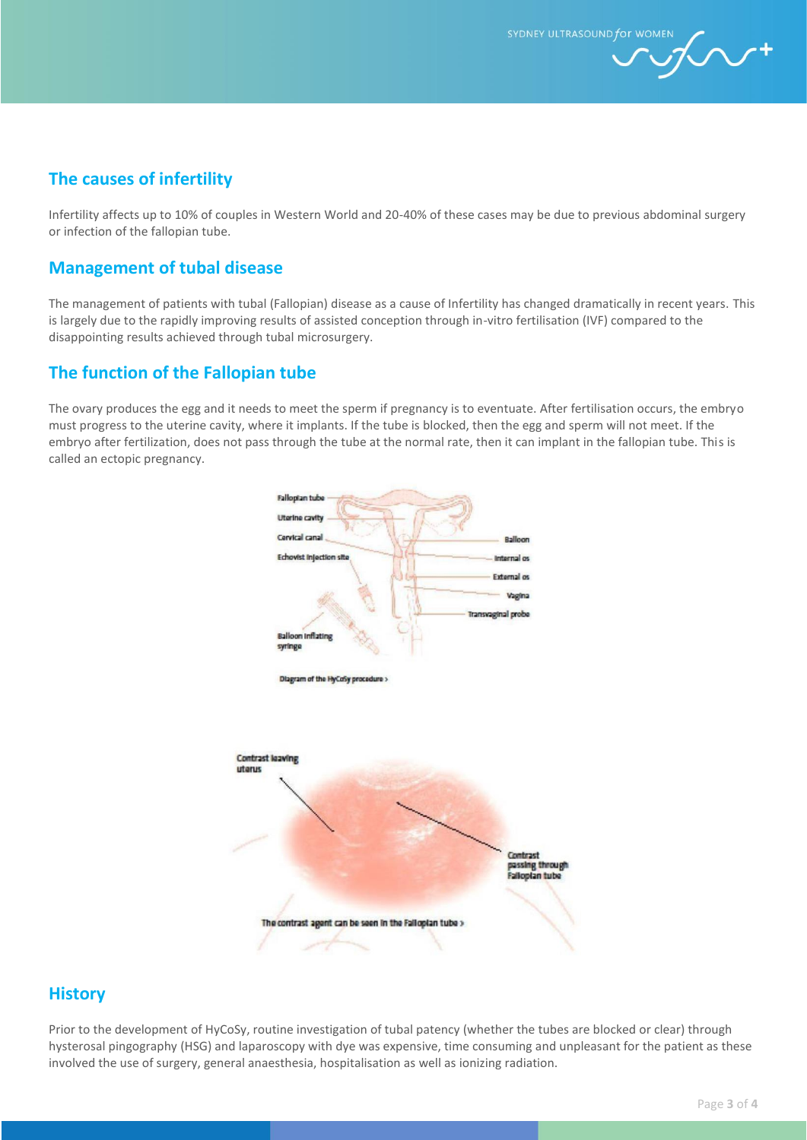SYDNEY ULTRASOUND for WOMEN

 $\mathcal{L}$ 

## **The causes of infertility**

Infertility affects up to 10% of couples in Western World and 20-40% of these cases may be due to previous abdominal surgery or infection of the fallopian tube.

## **Management of tubal disease**

The management of patients with tubal (Fallopian) disease as a cause of Infertility has changed dramatically in recent years. This is largely due to the rapidly improving results of assisted conception through in-vitro fertilisation (IVF) compared to the disappointing results achieved through tubal microsurgery.

## **The function of the Fallopian tube**

The ovary produces the egg and it needs to meet the sperm if pregnancy is to eventuate. After fertilisation occurs, the embryo must progress to the uterine cavity, where it implants. If the tube is blocked, then the egg and sperm will not meet. If the embryo after fertilization, does not pass through the tube at the normal rate, then it can implant in the fallopian tube. This is called an ectopic pregnancy.



## **History**

Prior to the development of HyCoSy, routine investigation of tubal patency (whether the tubes are blocked or clear) through hysterosal pingography (HSG) and laparoscopy with dye was expensive, time consuming and unpleasant for the patient as these involved the use of surgery, general anaesthesia, hospitalisation as well as ionizing radiation.